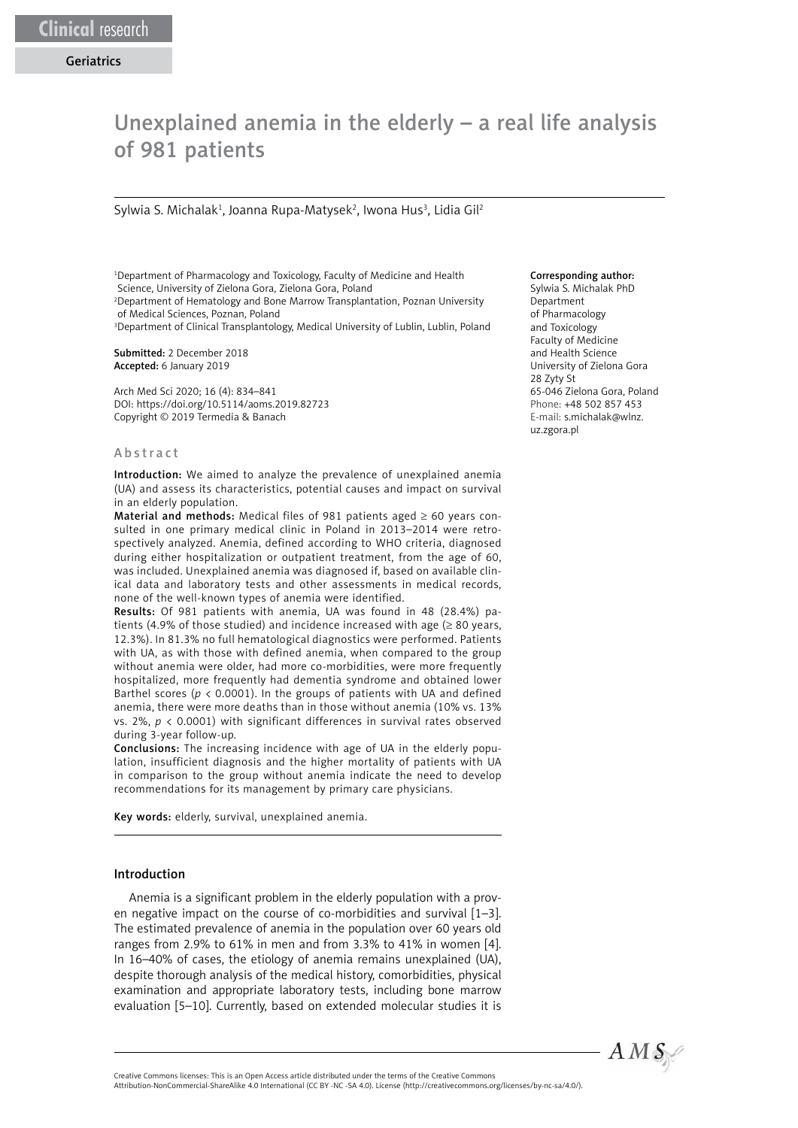# Unexplained anemia in the elderly – a real life analysis of 981 patients

#### Sylwia S. Michalak<sup>1</sup>, Joanna Rupa-Matysek<sup>2</sup>, Iwona Hus<sup>3</sup>, Lidia Gil<sup>2</sup>

1 Department of Pharmacology and Toxicology, Faculty of Medicine and Health Science, University of Zielona Gora, Zielona Gora, Poland

2 Department of Hematology and Bone Marrow Transplantation, Poznan University of Medical Sciences, Poznan, Poland

<sup>3</sup>Department of Clinical Transplantology, Medical University of Lublin, Lublin, Poland

Submitted: 2 December 2018 Accepted: 6 January 2019

Arch Med Sci 2020; 16 (4): 834–841 DOI: https://doi.org/10.5114/aoms.2019.82723 Copyright © 2019 Termedia & Banach

#### Abstract

Introduction: We aimed to analyze the prevalence of unexplained anemia (UA) and assess its characteristics, potential causes and impact on survival in an elderly population.

Material and methods: Medical files of 981 patients aged  $\geq 60$  years consulted in one primary medical clinic in Poland in 2013–2014 were retrospectively analyzed. Anemia, defined according to WHO criteria, diagnosed during either hospitalization or outpatient treatment, from the age of 60, was included. Unexplained anemia was diagnosed if, based on available clinical data and laboratory tests and other assessments in medical records, none of the well-known types of anemia were identified.

Results: Of 981 patients with anemia, UA was found in 48 (28.4%) patients (4.9% of those studied) and incidence increased with age ( $\geq 80$  years, 12.3%). In 81.3% no full hematological diagnostics were performed. Patients with UA, as with those with defined anemia, when compared to the group without anemia were older, had more co-morbidities, were more frequently hospitalized, more frequently had dementia syndrome and obtained lower Barthel scores ( $p < 0.0001$ ). In the groups of patients with UA and defined anemia, there were more deaths than in those without anemia (10% vs. 13% vs. 2%, *p* < 0.0001) with significant differences in survival rates observed during 3-year follow-up.

Conclusions: The increasing incidence with age of UA in the elderly population, insufficient diagnosis and the higher mortality of patients with UA in comparison to the group without anemia indicate the need to develop recommendations for its management by primary care physicians.

Key words: elderly, survival, unexplained anemia.

## Introduction

Anemia is a significant problem in the elderly population with a proven negative impact on the course of co-morbidities and survival [1–3]. The estimated prevalence of anemia in the population over 60 years old ranges from 2.9% to 61% in men and from 3.3% to 41% in women [4]. In 16–40% of cases, the etiology of anemia remains unexplained (UA), despite thorough analysis of the medical history, comorbidities, physical examination and appropriate laboratory tests, including bone marrow evaluation [5–10]. Currently, based on extended molecular studies it is

#### Corresponding author:

Sylwia S. Michalak PhD Department of Pharmacology and Toxicology Faculty of Medicine and Health Science University of Zielona Gora 28 Zyty St 65-046 Zielona Gora, Poland Phone: +48 502 857 453 E-mail: s.michalak@wlnz. uz.zgora.pl



Attribution-NonCommercial-ShareAlike 4.0 International (CC BY -NC -SA 4.0). License (http://creativecommons.org/licenses/by-nc-sa/4.0/).

Creative Commons licenses: This is an Open Access article distributed under the terms of the Creative Commons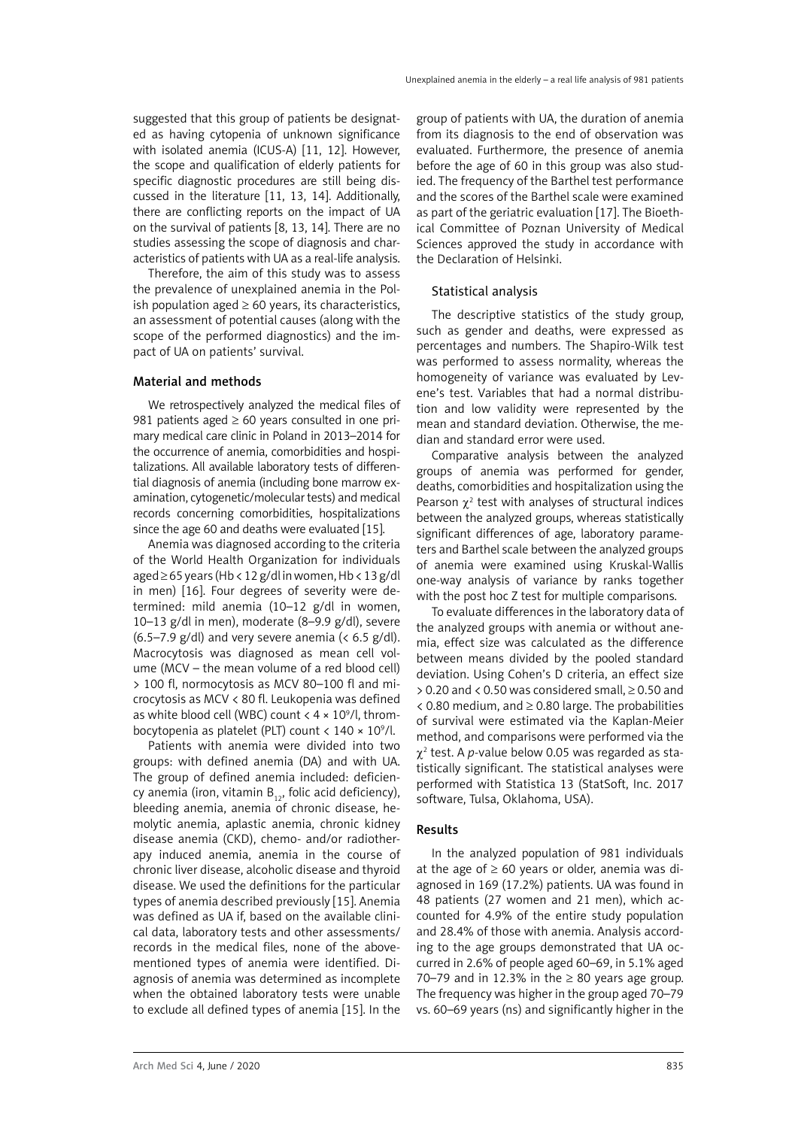suggested that this group of patients be designated as having cytopenia of unknown significance with isolated anemia (ICUS-A) [11, 12]. However, the scope and qualification of elderly patients for specific diagnostic procedures are still being discussed in the literature [11, 13, 14]. Additionally, there are conflicting reports on the impact of UA on the survival of patients [8, 13, 14]. There are no studies assessing the scope of diagnosis and characteristics of patients with UA as a real-life analysis.

Therefore, the aim of this study was to assess the prevalence of unexplained anemia in the Polish population aged  $\geq 60$  years, its characteristics, an assessment of potential causes (along with the scope of the performed diagnostics) and the impact of UA on patients' survival.

# Material and methods

We retrospectively analyzed the medical files of 981 patients aged  $\geq 60$  years consulted in one primary medical care clinic in Poland in 2013–2014 for the occurrence of anemia, comorbidities and hospitalizations. All available laboratory tests of differential diagnosis of anemia (including bone marrow examination, cytogenetic/molecular tests) and medical records concerning comorbidities, hospitalizations since the age 60 and deaths were evaluated [15].

Anemia was diagnosed according to the criteria of the World Health Organization for individuals aged ≥ 65 years (Hb < 12 g/dl in women, Hb < 13 g/dl in men) [16]. Four degrees of severity were determined: mild anemia (10–12 g/dl in women, 10–13 g/dl in men), moderate (8–9.9 g/dl), severe (6.5–7.9 g/dl) and very severe anemia ( $< 6.5$  g/dl). Macrocytosis was diagnosed as mean cell volume (MCV – the mean volume of a red blood cell) > 100 fl, normocytosis as MCV 80–100 fl and microcytosis as MCV < 80 fl. Leukopenia was defined as white blood cell (WBC) count  $<$  4  $\times$  10 $^{\circ}$ /l, thrombocytopenia as platelet (PLT) count < 140 × 10<sup>9</sup>/l.

Patients with anemia were divided into two groups: with defined anemia (DA) and with UA. The group of defined anemia included: deficiency anemia (iron, vitamin  $B_{12}$ , folic acid deficiency), bleeding anemia, anemia of chronic disease, hemolytic anemia, aplastic anemia, chronic kidney disease anemia (CKD), chemo- and/or radiotherapy induced anemia, anemia in the course of chronic liver disease, alcoholic disease and thyroid disease. We used the definitions for the particular types of anemia described previously [15]. Anemia was defined as UA if, based on the available clinical data, laboratory tests and other assessments/ records in the medical files, none of the abovementioned types of anemia were identified. Diagnosis of anemia was determined as incomplete when the obtained laboratory tests were unable to exclude all defined types of anemia [15]. In the

group of patients with UA, the duration of anemia from its diagnosis to the end of observation was evaluated. Furthermore, the presence of anemia before the age of 60 in this group was also studied. The frequency of the Barthel test performance and the scores of the Barthel scale were examined as part of the geriatric evaluation [17]. The Bioethical Committee of Poznan University of Medical Sciences approved the study in accordance with the Declaration of Helsinki.

# Statistical analysis

The descriptive statistics of the study group, such as gender and deaths, were expressed as percentages and numbers. The Shapiro-Wilk test was performed to assess normality, whereas the homogeneity of variance was evaluated by Levene's test. Variables that had a normal distribution and low validity were represented by the mean and standard deviation. Otherwise, the median and standard error were used.

Comparative analysis between the analyzed groups of anemia was performed for gender, deaths, comorbidities and hospitalization using the Pearson  $\chi^2$  test with analyses of structural indices between the analyzed groups, whereas statistically significant differences of age, laboratory parameters and Barthel scale between the analyzed groups of anemia were examined using Kruskal-Wallis one-way analysis of variance by ranks together with the post hoc Z test for multiple comparisons.

To evaluate differences in the laboratory data of the analyzed groups with anemia or without anemia, effect size was calculated as the difference between means divided by the pooled standard deviation. Using Cohen's D criteria, an effect size > 0.20 and < 0.50 was considered small, ≥ 0.50 and  $\leq$  0.80 medium, and  $\geq$  0.80 large. The probabilities of survival were estimated via the Kaplan-Meier method, and comparisons were performed via the  $\chi^2$  test. A *p*-value below 0.05 was regarded as statistically significant. The statistical analyses were performed with Statistica 13 (StatSoft, Inc. 2017 software, Tulsa, Oklahoma, USA).

# Results

In the analyzed population of 981 individuals at the age of  $\geq 60$  years or older, anemia was diagnosed in 169 (17.2%) patients. UA was found in 48 patients (27 women and 21 men), which accounted for 4.9% of the entire study population and 28.4% of those with anemia. Analysis according to the age groups demonstrated that UA occurred in 2.6% of people aged 60–69, in 5.1% aged 70–79 and in 12.3% in the  $\geq 80$  vears age group. The frequency was higher in the group aged 70–79 vs. 60–69 years (ns) and significantly higher in the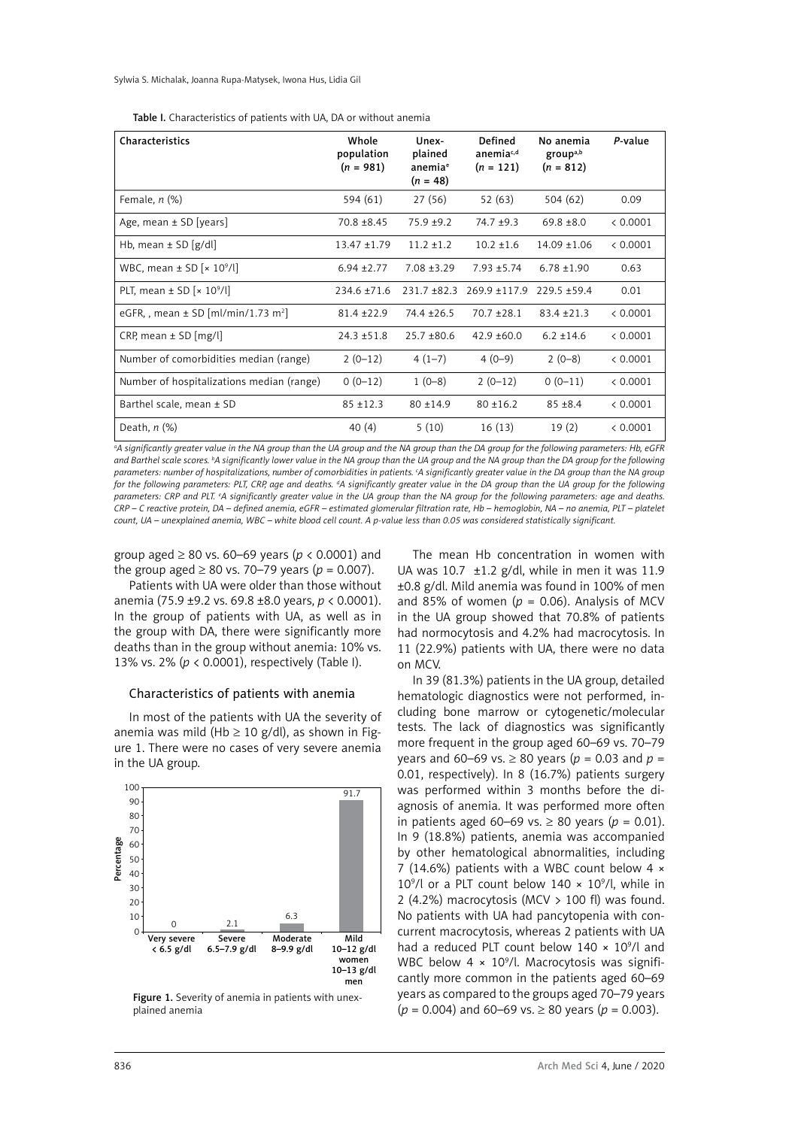| Characteristics                                     | Whole<br>population<br>$(n = 981)$ | Unex-<br>plained<br>anemia <sup>e</sup><br>$(n = 48)$ | <b>Defined</b><br>anemia <sup>c,d</sup><br>$(n = 121)$ | No anemia<br>group <sup>a,b</sup><br>$(n = 812)$ | P-value  |
|-----------------------------------------------------|------------------------------------|-------------------------------------------------------|--------------------------------------------------------|--------------------------------------------------|----------|
| Female, $n$ $%$                                     | 594 (61)                           | 27 (56)                                               | 52 (63)                                                | 504 (62)                                         | 0.09     |
| Age, mean $\pm$ SD [years]                          | $70.8 + 8.45$                      | $75.9 + 9.2$                                          | $74.7 + 9.3$                                           | $69.8 \pm 8.0$                                   | < 0.0001 |
| Hb, mean $\pm$ SD [g/dl]                            | $13.47 \pm 1.79$                   | $11.2 \pm 1.2$                                        | $10.2 \pm 1.6$                                         | $14.09 + 1.06$                                   | < 0.0001 |
| WBC, mean $\pm$ SD [ $\times$ 10 <sup>9</sup> /l]   | $6.94 \pm 2.77$                    | $7.08 + 3.29$                                         | $7.93 + 5.74$                                          | $6.78 \pm 1.90$                                  | 0.63     |
| PLT, mean $\pm$ SD [ $\times$ 10 <sup>9</sup> /l]   | $234.6 + 71.6$                     |                                                       | $231.7 \pm 82.3$ 269.9 $\pm 117.9$                     | $229.5 + 59.4$                                   | 0.01     |
| eGFR, , mean $\pm$ SD [ml/min/1.73 m <sup>2</sup> ] | $81.4 + 22.9$                      | $74.4 + 26.5$                                         | $70.7 + 28.1$                                          | $83.4 + 21.3$                                    | & 0.0001 |
| CRP, mean $\pm$ SD [mg/l]                           | $24.3 \pm 51.8$                    | $25.7 + 80.6$                                         | $42.9 + 60.0$                                          | $6.2 + 14.6$                                     | & 0.0001 |
| Number of comorbidities median (range)              | $2(0-12)$                          | $4(1-7)$                                              | $4(0-9)$                                               | $2(0-8)$                                         | < 0.0001 |
| Number of hospitalizations median (range)           | $0(0-12)$                          | $1(0-8)$                                              | $2(0-12)$                                              | $0(0-11)$                                        | < 0.0001 |
| Barthel scale, mean ± SD                            | $85 + 12.3$                        | $80 + 14.9$                                           | $80 + 16.2$                                            | $85 + 8.4$                                       | < 0.0001 |
| Death, $n$ $(\%)$                                   | 40(4)                              | 5(10)                                                 | 16(13)                                                 | 19(2)                                            | < 0.0001 |

Table I. Characteristics of patients with UA, DA or without anemia

*a A significantly greater value in the NA group than the UA group and the NA group than the DA group for the following parameters: Hb, eGFR and Barthel scale scores. b A significantly lower value in the NA group than the UA group and the NA group than the DA group for the following*  parameters: number of hospitalizations, number of comorbidities in patients. ʿA significantly greater value in the DA group than the NA group *for the following parameters: PLT, CRP, age and deaths. d A significantly greater value in the DA group than the UA group for the following parameters: CRP and PLT. e A significantly greater value in the UA group than the NA group for the following parameters: age and deaths. CRP – C reactive protein, DA – defined anemia, eGFR – estimated glomerular filtration rate, Hb – hemoglobin, NA – no anemia, PLT – platelet count, UA – unexplained anemia, WBC – white blood cell count. A p-value less than 0.05 was considered statistically significant.*

group aged ≥ 80 vs. 60–69 years (*p* < 0.0001) and the group aged ≥ 80 vs. 70–79 years ( $p = 0.007$ ).

Patients with UA were older than those without anemia (75.9 ±9.2 vs. 69.8 ±8.0 years, *p* < 0.0001). In the group of patients with UA, as well as in the group with DA, there were significantly more deaths than in the group without anemia: 10% vs. 13% vs. 2% (*p* < 0.0001), respectively (Table I).

### Characteristics of patients with anemia

In most of the patients with UA the severity of anemia was mild (Hb  $\geq$  10 g/dl), as shown in Figure 1. There were no cases of very severe anemia in the UA group.



Figure 1. Severity of anemia in patients with unexplained anemia

The mean Hb concentration in women with UA was 10.7  $\pm$ 1.2 g/dl, while in men it was 11.9 ±0.8 g/dl. Mild anemia was found in 100% of men and 85% of women ( $p = 0.06$ ). Analysis of MCV in the UA group showed that 70.8% of patients had normocytosis and 4.2% had macrocytosis. In 11 (22.9%) patients with UA, there were no data on MCV.

In 39 (81.3%) patients in the UA group, detailed hematologic diagnostics were not performed, including bone marrow or cytogenetic/molecular tests. The lack of diagnostics was significantly more frequent in the group aged 60–69 vs. 70–79 years and 60–69 vs. ≥ 80 years (*p* = 0.03 and *p* = 0.01, respectively). In 8 (16.7%) patients surgery was performed within 3 months before the diagnosis of anemia. It was performed more often in patients aged 60–69 vs. ≥ 80 years ( $p = 0.01$ ). In 9 (18.8%) patients, anemia was accompanied by other hematological abnormalities, including 7 (14.6%) patients with a WBC count below 4 ×  $10^9$ /l or a PLT count below 140  $\times$  10<sup>9</sup>/l, while in 2 (4.2%) macrocytosis (MCV > 100 fl) was found. No patients with UA had pancytopenia with concurrent macrocytosis, whereas 2 patients with UA had a reduced PLT count below  $140 \times 10^9$ /l and WBC below  $4 \times 10^9$ /l. Macrocytosis was significantly more common in the patients aged 60–69 years as compared to the groups aged 70–79 years (*p* = 0.004) and 60–69 vs. ≥ 80 years (*p* = 0.003).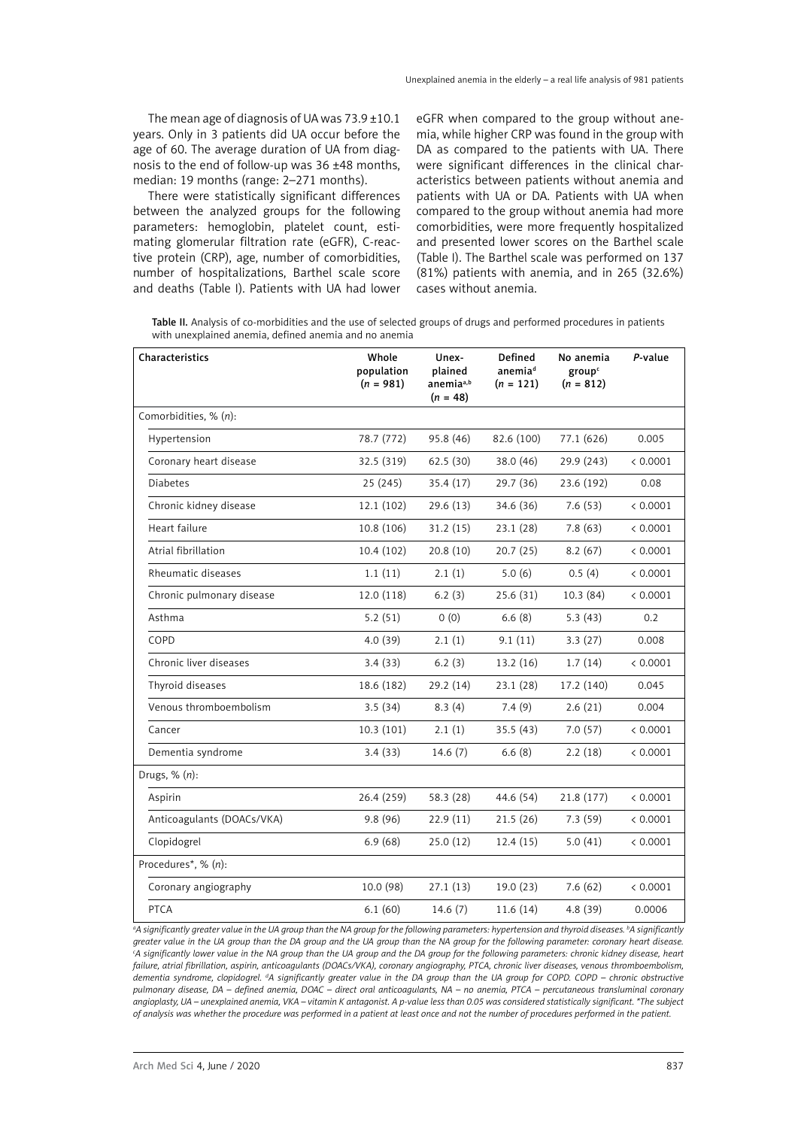The mean age of diagnosis of UA was 73.9 ±10.1 years. Only in 3 patients did UA occur before the age of 60. The average duration of UA from diagnosis to the end of follow-up was 36 ±48 months, median: 19 months (range: 2–271 months).

There were statistically significant differences between the analyzed groups for the following parameters: hemoglobin, platelet count, estimating glomerular filtration rate (eGFR), C-reactive protein (CRP), age, number of comorbidities, number of hospitalizations, Barthel scale score and deaths (Table I). Patients with UA had lower eGFR when compared to the group without anemia, while higher CRP was found in the group with DA as compared to the patients with UA. There were significant differences in the clinical characteristics between patients without anemia and patients with UA or DA. Patients with UA when compared to the group without anemia had more comorbidities, were more frequently hospitalized and presented lower scores on the Barthel scale (Table I). The Barthel scale was performed on 137 (81%) patients with anemia, and in 265 (32.6%) cases without anemia.

Table II. Analysis of co-morbidities and the use of selected groups of drugs and performed procedures in patients with unexplained anemia, defined anemia and no anemia

| Characteristics            | Whole<br>population<br>$(n = 981)$ | Unex-<br>plained<br>anemia <sup>a,b</sup><br>$(n = 48)$ | Defined<br>anemia <sup>d</sup><br>$(n = 121)$ | No anemia<br>group <sup>c</sup><br>$(n = 812)$ | P-value  |
|----------------------------|------------------------------------|---------------------------------------------------------|-----------------------------------------------|------------------------------------------------|----------|
| Comorbidities, % (n):      |                                    |                                                         |                                               |                                                |          |
| Hypertension               | 78.7 (772)                         | 95.8 (46)                                               | 82.6 (100)                                    | 77.1 (626)                                     | 0.005    |
| Coronary heart disease     | 32.5 (319)                         | 62.5(30)                                                | 38.0 (46)                                     | 29.9 (243)                                     | < 0.0001 |
| <b>Diabetes</b>            | 25 (245)                           | 35.4(17)                                                | 29.7 (36)                                     | 23.6 (192)                                     | 0.08     |
| Chronic kidney disease     | 12.1 (102)                         | 29.6(13)                                                | 34.6 (36)                                     | 7.6(53)                                        | < 0.0001 |
| Heart failure              | 10.8 (106)                         | 31.2(15)                                                | 23.1(28)                                      | 7.8(63)                                        | < 0.0001 |
| Atrial fibrillation        | 10.4(102)                          | 20.8(10)                                                | 20.7(25)                                      | 8.2(67)                                        | < 0.0001 |
| Rheumatic diseases         | 1.1(11)                            | 2.1(1)                                                  | 5.0(6)                                        | 0.5(4)                                         | < 0.0001 |
| Chronic pulmonary disease  | 12.0 (118)                         | 6.2(3)                                                  | 25.6(31)                                      | 10.3(84)                                       | < 0.0001 |
| Asthma                     | 5.2(51)                            | 0(0)                                                    | 6.6(8)                                        | 5.3(43)                                        | 0.2      |
| COPD                       | 4.0(39)                            | 2.1(1)                                                  | 9.1(11)                                       | 3.3(27)                                        | 0.008    |
| Chronic liver diseases     | 3.4(33)                            | 6.2(3)                                                  | 13.2(16)                                      | 1.7(14)                                        | < 0.0001 |
| Thyroid diseases           | 18.6 (182)                         | 29.2(14)                                                | 23.1(28)                                      | 17.2 (140)                                     | 0.045    |
| Venous thromboembolism     | 3.5(34)                            | 8.3(4)                                                  | 7.4(9)                                        | 2.6(21)                                        | 0.004    |
| Cancer                     | 10.3(101)                          | 2.1(1)                                                  | 35.5(43)                                      | 7.0(57)                                        | < 0.0001 |
| Dementia syndrome          | 3.4(33)                            | 14.6(7)                                                 | 6.6(8)                                        | 2.2(18)                                        | < 0.0001 |
| Drugs, $% (n)$ :           |                                    |                                                         |                                               |                                                |          |
| Aspirin                    | 26.4 (259)                         | 58.3 (28)                                               | 44.6 (54)                                     | 21.8 (177)                                     | < 0.0001 |
| Anticoagulants (DOACs/VKA) | 9.8(96)                            | 22.9(11)                                                | 21.5(26)                                      | 7.3(59)                                        | < 0.0001 |
| Clopidogrel                | 6.9(68)                            | 25.0(12)                                                | 12.4(15)                                      | 5.0(41)                                        | < 0.0001 |
| Procedures*, % (n):        |                                    |                                                         |                                               |                                                |          |
| Coronary angiography       | 10.0 (98)                          | 27.1(13)                                                | 19.0(23)                                      | 7.6(62)                                        | < 0.0001 |
| <b>PTCA</b>                | 6.1(60)                            | 14.6(7)                                                 | 11.6(14)                                      | 4.8 (39)                                       | 0.0006   |

*a A significantly greater value in the UA group than the NA group for the following parameters: hypertension and thyroid diseases. b A significantly greater value in the UA group than the DA group and the UA group than the NA group for the following parameter: coronary heart disease. c A significantly lower value in the NA group than the UA group and the DA group for the following parameters: chronic kidney disease, heart failure, atrial fibrillation, aspirin, anticoagulants (DOACs/VKA), coronary angiography, PTCA, chronic liver diseases, venous thromboembolism, dementia syndrome, clopidogrel. d A significantly greater value in the DA group than the UA group for COPD. COPD – chronic obstructive pulmonary disease, DA – defined anemia, DOAC – direct oral anticoagulants, NA – no anemia, PTCA – percutaneous transluminal coronary angioplasty, UA – unexplained anemia, VKA – vitamin K antagonist. A p-value less than 0.05 was considered statistically significant. \*The subject of analysis was whether the procedure was performed in a patient at least once and not the number of procedures performed in the patient.*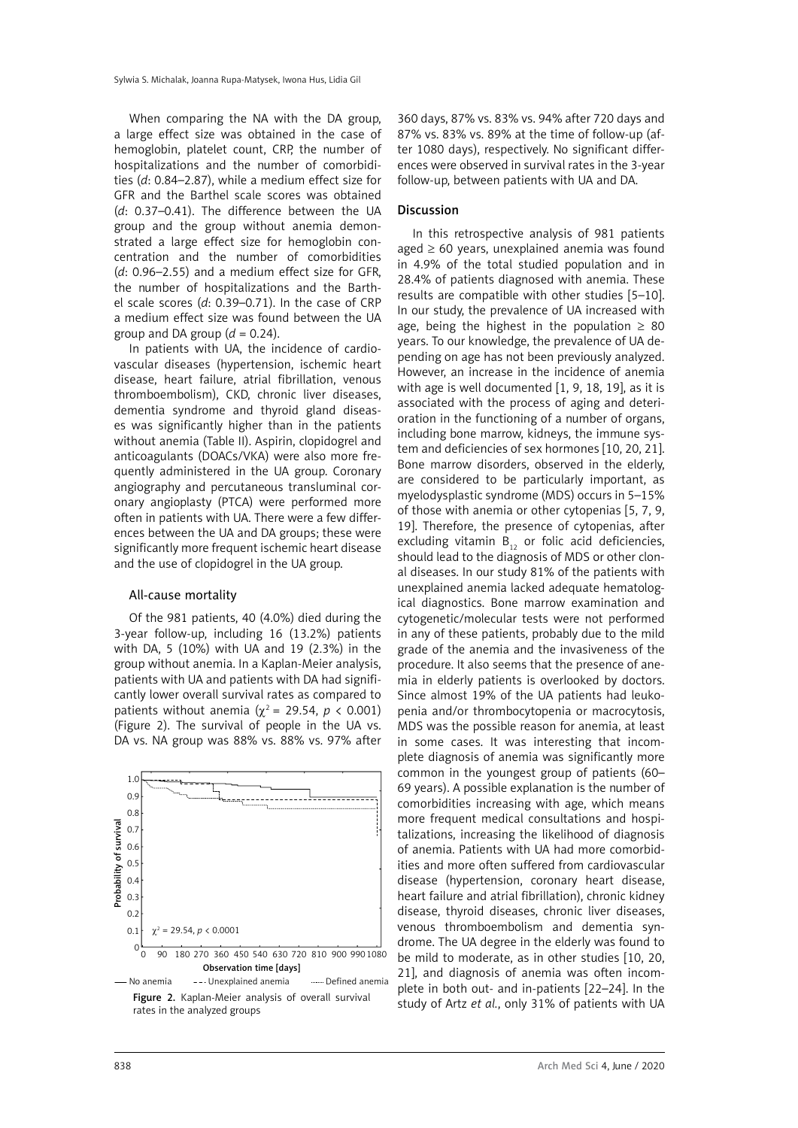When comparing the NA with the DA group, a large effect size was obtained in the case of hemoglobin, platelet count, CRP, the number of hospitalizations and the number of comorbidities (*d*: 0.84–2.87), while a medium effect size for GFR and the Barthel scale scores was obtained (*d*: 0.37–0.41). The difference between the UA group and the group without anemia demonstrated a large effect size for hemoglobin concentration and the number of comorbidities (*d*: 0.96–2.55) and a medium effect size for GFR, the number of hospitalizations and the Barthel scale scores (*d*: 0.39–0.71). In the case of CRP a medium effect size was found between the UA group and DA group  $(d = 0.24)$ .

In patients with UA, the incidence of cardiovascular diseases (hypertension, ischemic heart disease, heart failure, atrial fibrillation, venous thromboembolism), CKD, chronic liver diseases, dementia syndrome and thyroid gland diseases was significantly higher than in the patients without anemia (Table II). Aspirin, clopidogrel and anticoagulants (DOACs/VKA) were also more frequently administered in the UA group. Coronary angiography and percutaneous transluminal coronary angioplasty (PTCA) were performed more often in patients with UA. There were a few differences between the UA and DA groups; these were significantly more frequent ischemic heart disease and the use of clopidogrel in the UA group.

### All-cause mortality

Of the 981 patients, 40 (4.0%) died during the 3-year follow-up, including 16 (13.2%) patients with DA, 5 (10%) with UA and 19 (2.3%) in the group without anemia. In a Kaplan-Meier analysis, patients with UA and patients with DA had significantly lower overall survival rates as compared to patients without anemia ( $\chi^2$  = 29.54, *p* < 0.001) (Figure 2). The survival of people in the UA vs. DA vs. NA group was 88% vs. 88% vs. 97% after



rates in the analyzed groups

360 days, 87% vs. 83% vs. 94% after 720 days and 87% vs. 83% vs. 89% at the time of follow-up (after 1080 days), respectively. No significant differences were observed in survival rates in the 3-year follow-up, between patients with UA and DA.

## Discussion

In this retrospective analysis of 981 patients aged  $\geq 60$  years, unexplained anemia was found in 4.9% of the total studied population and in 28.4% of patients diagnosed with anemia. These results are compatible with other studies [5–10]. In our study, the prevalence of UA increased with age, being the highest in the population  $\geq 80$ years. To our knowledge, the prevalence of UA depending on age has not been previously analyzed. However, an increase in the incidence of anemia with age is well documented [1, 9, 18, 19], as it is associated with the process of aging and deterioration in the functioning of a number of organs, including bone marrow, kidneys, the immune system and deficiencies of sex hormones [10, 20, 21]. Bone marrow disorders, observed in the elderly, are considered to be particularly important, as myelodysplastic syndrome (MDS) occurs in 5–15% of those with anemia or other cytopenias [5, 7, 9, 19]. Therefore, the presence of cytopenias, after excluding vitamin  $B_{12}$  or folic acid deficiencies, should lead to the diagnosis of MDS or other clonal diseases. In our study 81% of the patients with unexplained anemia lacked adequate hematological diagnostics. Bone marrow examination and cytogenetic/molecular tests were not performed in any of these patients, probably due to the mild grade of the anemia and the invasiveness of the procedure. It also seems that the presence of anemia in elderly patients is overlooked by doctors. Since almost 19% of the UA patients had leukopenia and/or thrombocytopenia or macrocytosis, MDS was the possible reason for anemia, at least in some cases. It was interesting that incomplete diagnosis of anemia was significantly more common in the youngest group of patients (60– 69 years). A possible explanation is the number of comorbidities increasing with age, which means more frequent medical consultations and hospitalizations, increasing the likelihood of diagnosis of anemia. Patients with UA had more comorbidities and more often suffered from cardiovascular disease (hypertension, coronary heart disease, heart failure and atrial fibrillation), chronic kidney disease, thyroid diseases, chronic liver diseases, venous thromboembolism and dementia syndrome. The UA degree in the elderly was found to be mild to moderate, as in other studies [10, 20, 21], and diagnosis of anemia was often incomplete in both out- and in-patients [22–24]. In the study of Artz *et al.*, only 31% of patients with UA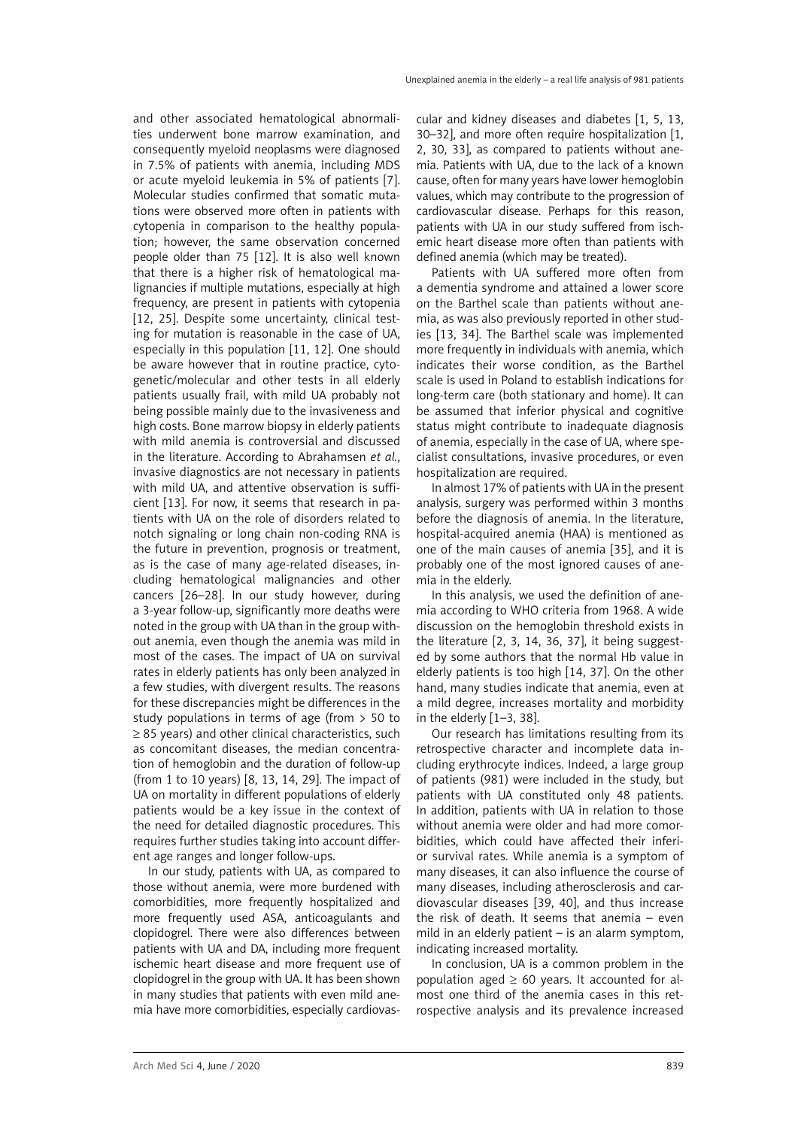and other associated hematological abnormalities underwent bone marrow examination, and consequently myeloid neoplasms were diagnosed in 7.5% of patients with anemia, including MDS or acute myeloid leukemia in 5% of patients [7]. Molecular studies confirmed that somatic mutations were observed more often in patients with cytopenia in comparison to the healthy population; however, the same observation concerned people older than 75 [12]. It is also well known that there is a higher risk of hematological malignancies if multiple mutations, especially at high frequency, are present in patients with cytopenia [12, 25]. Despite some uncertainty, clinical testing for mutation is reasonable in the case of UA, especially in this population [11, 12]. One should be aware however that in routine practice, cytogenetic/molecular and other tests in all elderly patients usually frail, with mild UA probably not being possible mainly due to the invasiveness and high costs. Bone marrow biopsy in elderly patients with mild anemia is controversial and discussed in the literature. According to Abrahamsen *et al.*, invasive diagnostics are not necessary in patients with mild UA, and attentive observation is sufficient [13]. For now, it seems that research in patients with UA on the role of disorders related to notch signaling or long chain non-coding RNA is the future in prevention, prognosis or treatment, as is the case of many age-related diseases, including hematological malignancies and other cancers [26–28]. In our study however, during a 3-year follow-up, significantly more deaths were noted in the group with UA than in the group without anemia, even though the anemia was mild in most of the cases. The impact of UA on survival rates in elderly patients has only been analyzed in a few studies, with divergent results. The reasons for these discrepancies might be differences in the study populations in terms of age (from > 50 to ≥ 85 years) and other clinical characteristics, such as concomitant diseases, the median concentration of hemoglobin and the duration of follow-up (from 1 to 10 years) [8, 13, 14, 29]. The impact of UA on mortality in different populations of elderly patients would be a key issue in the context of the need for detailed diagnostic procedures. This requires further studies taking into account different age ranges and longer follow-ups.

In our study, patients with UA, as compared to those without anemia, were more burdened with comorbidities, more frequently hospitalized and more frequently used ASA, anticoagulants and clopidogrel. There were also differences between patients with UA and DA, including more frequent ischemic heart disease and more frequent use of clopidogrel in the group with UA. It has been shown in many studies that patients with even mild anemia have more comorbidities, especially cardiovascular and kidney diseases and diabetes [1, 5, 13, 30–32], and more often require hospitalization [1, 2, 30, 33], as compared to patients without anemia. Patients with UA, due to the lack of a known cause, often for many years have lower hemoglobin values, which may contribute to the progression of cardiovascular disease. Perhaps for this reason, patients with UA in our study suffered from ischemic heart disease more often than patients with defined anemia (which may be treated).

Patients with UA suffered more often from a dementia syndrome and attained a lower score on the Barthel scale than patients without anemia, as was also previously reported in other studies [13, 34]. The Barthel scale was implemented more frequently in individuals with anemia, which indicates their worse condition, as the Barthel scale is used in Poland to establish indications for long-term care (both stationary and home). It can be assumed that inferior physical and cognitive status might contribute to inadequate diagnosis of anemia, especially in the case of UA, where specialist consultations, invasive procedures, or even hospitalization are required.

In almost 17% of patients with UA in the present analysis, surgery was performed within 3 months before the diagnosis of anemia. In the literature, hospital-acquired anemia (HAA) is mentioned as one of the main causes of anemia [35], and it is probably one of the most ignored causes of anemia in the elderly.

In this analysis, we used the definition of anemia according to WHO criteria from 1968. A wide discussion on the hemoglobin threshold exists in the literature [2, 3, 14, 36, 37], it being suggested by some authors that the normal Hb value in elderly patients is too high [14, 37]. On the other hand, many studies indicate that anemia, even at a mild degree, increases mortality and morbidity in the elderly [1–3, 38].

Our research has limitations resulting from its retrospective character and incomplete data including erythrocyte indices. Indeed, a large group of patients (981) were included in the study, but patients with UA constituted only 48 patients. In addition, patients with UA in relation to those without anemia were older and had more comorbidities, which could have affected their inferior survival rates. While anemia is a symptom of many diseases, it can also influence the course of many diseases, including atherosclerosis and cardiovascular diseases [39, 40], and thus increase the risk of death. It seems that anemia – even mild in an elderly patient – is an alarm symptom, indicating increased mortality.

In conclusion, UA is a common problem in the population aged  $\geq 60$  years. It accounted for almost one third of the anemia cases in this retrospective analysis and its prevalence increased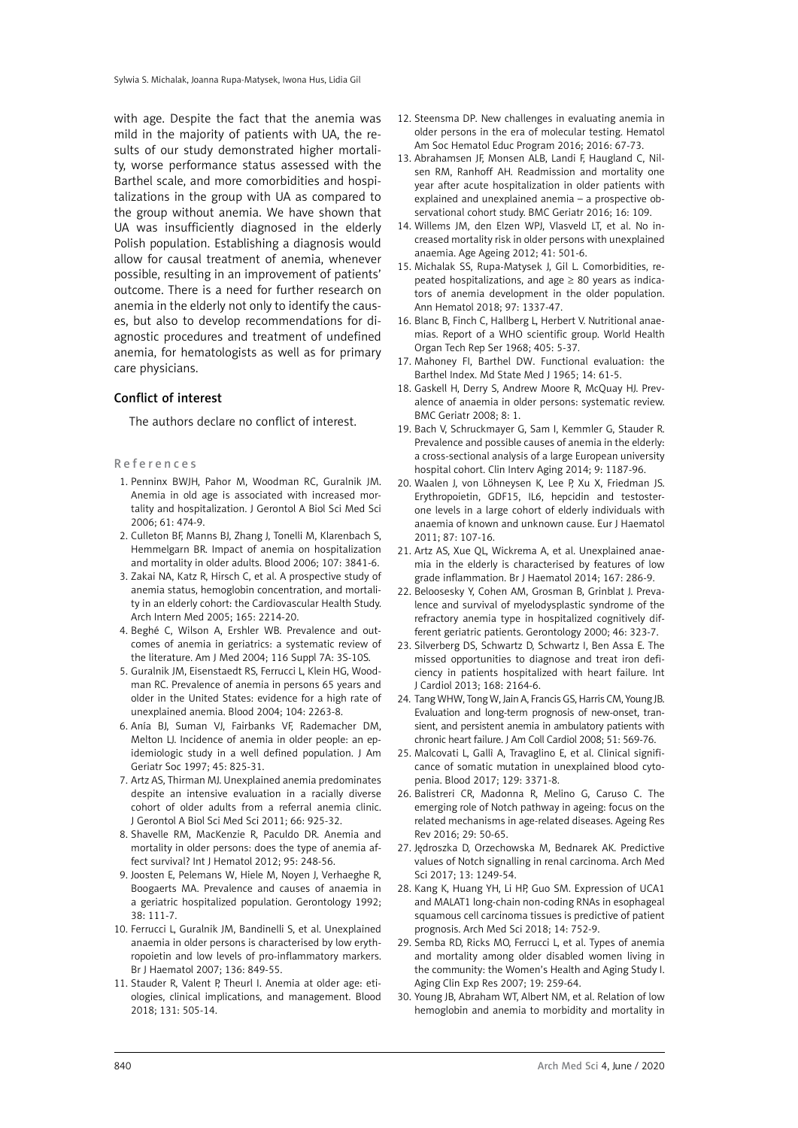with age. Despite the fact that the anemia was mild in the majority of patients with UA, the results of our study demonstrated higher mortality, worse performance status assessed with the Barthel scale, and more comorbidities and hospitalizations in the group with UA as compared to the group without anemia. We have shown that UA was insufficiently diagnosed in the elderly Polish population. Establishing a diagnosis would allow for causal treatment of anemia, whenever possible, resulting in an improvement of patients' outcome. There is a need for further research on anemia in the elderly not only to identify the causes, but also to develop recommendations for diagnostic procedures and treatment of undefined anemia, for hematologists as well as for primary care physicians.

#### Conflict of interest

The authors declare no conflict of interest.

## References

- 1. Penninx BWJH, Pahor M, Woodman RC, Guralnik JM. Anemia in old age is associated with increased mortality and hospitalization. J Gerontol A Biol Sci Med Sci 2006; 61: 474-9.
- 2. Culleton BF, Manns BJ, Zhang J, Tonelli M, Klarenbach S, Hemmelgarn BR. Impact of anemia on hospitalization and mortality in older adults. Blood 2006; 107: 3841-6.
- 3. Zakai NA, Katz R, Hirsch C, et al. A prospective study of anemia status, hemoglobin concentration, and mortality in an elderly cohort: the Cardiovascular Health Study. Arch Intern Med 2005; 165: 2214-20.
- 4. Beghé C, Wilson A, Ershler WB. Prevalence and outcomes of anemia in geriatrics: a systematic review of the literature. Am J Med 2004; 116 Suppl 7A: 3S-10S.
- 5. Guralnik JM, Eisenstaedt RS, Ferrucci L, Klein HG, Woodman RC. Prevalence of anemia in persons 65 years and older in the United States: evidence for a high rate of unexplained anemia. Blood 2004; 104: 2263-8.
- 6. Anía BJ, Suman VJ, Fairbanks VF, Rademacher DM, Melton LJ. Incidence of anemia in older people: an epidemiologic study in a well defined population. J Am Geriatr Soc 1997; 45: 825-31.
- 7. Artz AS, Thirman MJ. Unexplained anemia predominates despite an intensive evaluation in a racially diverse cohort of older adults from a referral anemia clinic. J Gerontol A Biol Sci Med Sci 2011; 66: 925-32.
- 8. Shavelle RM, MacKenzie R, Paculdo DR. Anemia and mortality in older persons: does the type of anemia affect survival? Int J Hematol 2012; 95: 248-56.
- 9. Joosten E, Pelemans W, Hiele M, Noyen J, Verhaeghe R, Boogaerts MA. Prevalence and causes of anaemia in a geriatric hospitalized population. Gerontology 1992; 38: 111-7.
- 10. Ferrucci L, Guralnik JM, Bandinelli S, et al. Unexplained anaemia in older persons is characterised by low erythropoietin and low levels of pro-inflammatory markers. Br J Haematol 2007; 136: 849-55.
- 11. Stauder R, Valent P, Theurl I. Anemia at older age: etiologies, clinical implications, and management. Blood 2018; 131: 505-14.
- 12. Steensma DP. New challenges in evaluating anemia in older persons in the era of molecular testing. Hematol Am Soc Hematol Educ Program 2016; 2016: 67-73.
- 13. Abrahamsen JF, Monsen ALB, Landi F, Haugland C, Nilsen RM, Ranhoff AH. Readmission and mortality one year after acute hospitalization in older patients with explained and unexplained anemia – a prospective observational cohort study. BMC Geriatr 2016; 16: 109.
- 14. Willems JM, den Elzen WPJ, Vlasveld LT, et al. No increased mortality risk in older persons with unexplained anaemia. Age Ageing 2012; 41: 501-6.
- 15. Michalak SS, Rupa-Matysek J, Gil L. Comorbidities, repeated hospitalizations, and age  $\geq 80$  years as indicators of anemia development in the older population. Ann Hematol 2018; 97: 1337-47.
- 16. Blanc B, Finch C, Hallberg L, Herbert V. Nutritional anaemias. Report of a WHO scientific group. World Health Organ Tech Rep Ser 1968; 405: 5-37.
- 17. Mahoney FI, Barthel DW. Functional evaluation: the Barthel Index. Md State Med J 1965; 14: 61-5.
- 18. Gaskell H, Derry S, Andrew Moore R, McQuay HJ. Prevalence of anaemia in older persons: systematic review. BMC Geriatr 2008; 8: 1.
- 19. Bach V, Schruckmayer G, Sam I, Kemmler G, Stauder R. Prevalence and possible causes of anemia in the elderly: a cross-sectional analysis of a large European university hospital cohort. Clin Interv Aging 2014; 9: 1187-96.
- 20. Waalen J, von Löhneysen K, Lee P, Xu X, Friedman JS. Erythropoietin, GDF15, IL6, hepcidin and testosterone levels in a large cohort of elderly individuals with anaemia of known and unknown cause. Eur J Haematol 2011; 87: 107-16.
- 21. Artz AS, Xue QL, Wickrema A, et al. Unexplained anaemia in the elderly is characterised by features of low grade inflammation. Br J Haematol 2014; 167: 286-9.
- 22. Beloosesky Y, Cohen AM, Grosman B, Grinblat J. Prevalence and survival of myelodysplastic syndrome of the refractory anemia type in hospitalized cognitively different geriatric patients. Gerontology 2000; 46: 323-7.
- 23. Silverberg DS, Schwartz D, Schwartz I, Ben Assa E. The missed opportunities to diagnose and treat iron deficiency in patients hospitalized with heart failure. Int J Cardiol 2013; 168: 2164-6.
- 24. Tang WHW, Tong W, Jain A, Francis GS, Harris CM, Young JB. Evaluation and long-term prognosis of new-onset, transient, and persistent anemia in ambulatory patients with chronic heart failure. J Am Coll Cardiol 2008; 51: 569-76.
- 25. Malcovati L, Gallì A, Travaglino E, et al. Clinical significance of somatic mutation in unexplained blood cytopenia. Blood 2017; 129: 3371-8.
- 26. Balistreri CR, Madonna R, Melino G, Caruso C. The emerging role of Notch pathway in ageing: focus on the related mechanisms in age-related diseases. Ageing Res Rev 2016; 29: 50-65.
- 27. Jędroszka D, Orzechowska M, Bednarek AK. Predictive values of Notch signalling in renal carcinoma. Arch Med Sci 2017; 13: 1249-54.
- 28. Kang K, Huang YH, Li HP, Guo SM. Expression of UCA1 and MALAT1 long-chain non-coding RNAs in esophageal squamous cell carcinoma tissues is predictive of patient prognosis. Arch Med Sci 2018; 14: 752-9.
- 29. Semba RD, Ricks MO, Ferrucci L, et al. Types of anemia and mortality among older disabled women living in the community: the Women's Health and Aging Study I. Aging Clin Exp Res 2007; 19: 259-64.
- 30. Young JB, Abraham WT, Albert NM, et al. Relation of low hemoglobin and anemia to morbidity and mortality in